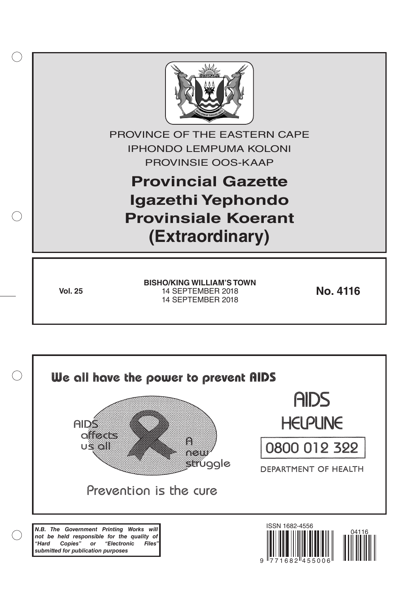

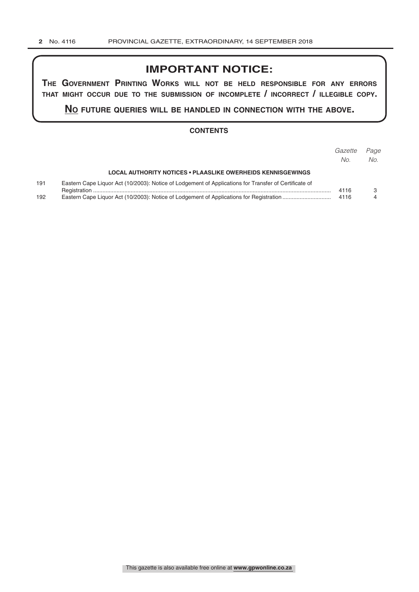## **IMPORTANT NOTICE:**

**The GovernmenT PrinTinG Works Will noT be held resPonsible for any errors ThaT miGhT occur due To The submission of incomPleTe / incorrecT / illeGible coPy.**

**no fuTure queries Will be handled in connecTion WiTh The above.**

## **CONTENTS**

|     |                                                                                                       | Gazette | Page |
|-----|-------------------------------------------------------------------------------------------------------|---------|------|
|     |                                                                                                       | No.     | No.  |
|     | <b>LOCAL AUTHORITY NOTICES • PLAASLIKE OWERHEIDS KENNISGEWINGS</b>                                    |         |      |
| 191 | Eastern Cape Liquor Act (10/2003): Notice of Lodgement of Applications for Transfer of Certificate of | 4116    |      |
| 192 |                                                                                                       | 4116    |      |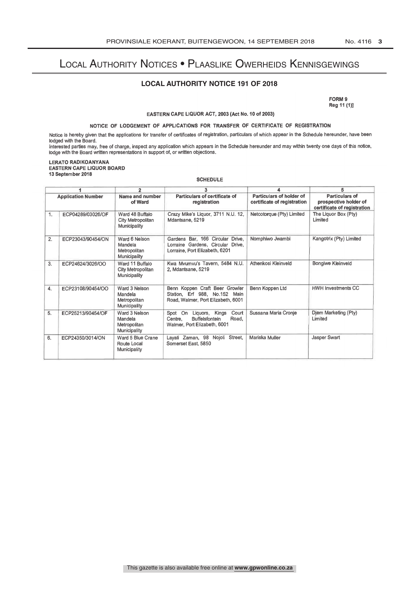# Local Authority Notices • Plaaslike Owerheids Kennisgewings

## **LOCAL AUTHORITY NOTICE 191 OF 2018**

FORM 9 Reg 11 (1)]

#### EASTERN CAPE LIQUOR ACT, 2003 (Act No. 10 of 2003)

## NOTICE OF LODGEMENT OF APPLICATIONS FOR TRANSFER OF CERTIFICATE OF REGISTRATION

Notice is hereby given that the applications for transfer of certificates of registration, particulars of which appear in the Schedule hereunder, have been lodged with the Board.

Interested parties may, free of charge, inspect any application which appears in the Schedule hereunder and may within twenty one days of this notice, lodge with the Board written representations in support of, or written objections.

#### LERATO RADIKOANYANA EASTERN CAPE LIQUOR BOARD 13 September 2018

**SCHEDULE** 

| 1<br><b>Application Number</b> |                   | $\overline{2}$                                           | 3                                                                                                        |                                                         | 5                                                                             |
|--------------------------------|-------------------|----------------------------------------------------------|----------------------------------------------------------------------------------------------------------|---------------------------------------------------------|-------------------------------------------------------------------------------|
|                                |                   | Name and number<br>of Ward                               | Particulars of certificate of<br>registration                                                            | Particulars of holder of<br>certificate of registration | <b>Particulars of</b><br>prospective holder of<br>certificate of registration |
| $\mathbf{1}$ .                 | ECP04289/03026/OF | Ward 48 Buffalo<br>City Metropolitan<br>Municipality     | Crazy Mike's Liquor, 3711 N.U. 12,<br>Mdantsane, 5219                                                    | Netcotorque (Pty) Limited                               | The Liquor Box (Pty)<br>Limited                                               |
| 2.                             | ECP23043/90454/ON | Ward 6 Nelson<br>Mandela<br>Metropolitan<br>Municipality | Gardens Bar, 166 Circular Drive,<br>Lorraine Gardens, Circular Drive,<br>Lorraine, Port Elizabeth, 6201  | Nomphiwo Jwambi                                         | Kangotrix (Pty) Limited                                                       |
| 3.                             | ECP24624/3026/OO  | Ward 11 Buffalo<br>City Metropolitan<br>Municipality     | Kwa Mvumvu's Tavern, 5484 N.U.<br>2, Mdantsane, 5219                                                     | Athenkosi Kleinveld                                     | <b>Bongiwe Kleinveld</b>                                                      |
| 4.                             | ECP23108/90454/OO | Ward 3 Nelson<br>Mandela<br>Metropolitan<br>Municipality | Benn Koppen Craft Beer Growler<br>Station, Erf 988, No.152 Main<br>Road, Walmer, Port Elizabeth, 6001    | Benn Koppen Ltd                                         | <b>HWH Investments CC</b>                                                     |
| 5.                             | ECP25213/90454/OF | Ward 3 Nelson<br>Mandela<br>Metropolitan<br>Municipality | Court<br>Spot On<br>Liquors, Kings<br>Centre.<br>Buffelsfontein<br>Road,<br>Walmer, Port Elizabeth, 6001 | Sussana Maria Cronje                                    | Djem Marketing (Pty)<br>Limited                                               |
| 6.                             | ECP24350/3014/ON  | Ward 5 Blue Crane<br>Route Local<br>Municipality         | Layali Zaman, 98 Nojoli Street,<br>Somerset East, 5850                                                   | Mariska Muller                                          | Jasper Swart                                                                  |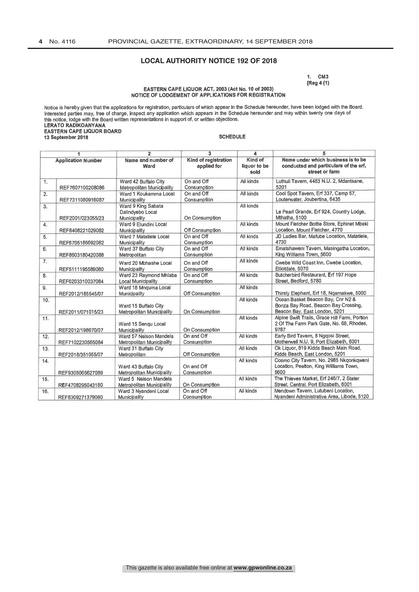## **LOCAL AUTHORITY NOTICE 192 OF 2018**

1. CM3 [Reg 4 (1)

#### EASTERN CAPE LIQUOR ACT, 2003 (Act No. 10 of 2003) NOTICE OF LODGEMENT OF APPLICATIONS FOR REGISTRATION

Notice is hereby given that the applications for registration, particulars of which appear in the Schedule hereunder, have been lodged with the Board. Interested parties may, free of charge, inspect any application which appears in the Schedule hereunder and may within twenty one days of this notice, lodge with the Board written representations in support of, or written objections. LERATO RADIKOANYANA EASTERN CAPE LIQUOR BOARD<br>13 September 2018

|                           |                   | $\overline{2}$                                            | 3                                   | 4                               | 5                                                                                                          |  |
|---------------------------|-------------------|-----------------------------------------------------------|-------------------------------------|---------------------------------|------------------------------------------------------------------------------------------------------------|--|
| <b>Application Number</b> |                   | Name and number of<br>Ward                                | Kind of registration<br>applied for | Kind of<br>liquor to be<br>sold | Name under which business is to be<br>conducted and particulars of the erf,<br>street or farm              |  |
| 1.                        | REF7607100208086  | Ward 42 Buffalo City<br><b>Metropolitan Municipality</b>  | On and Off<br>Consumption           | All kinds                       | Luthuli Tavem, 4483 N.U. 2, Mdantsane,<br>5201                                                             |  |
| 2.                        | REF7311080916087  | Ward 1 Koukamma Local<br>Municipality                     | On and Off<br>Consumption           | All kinds                       | Cool Spot Tavern, Erf 337, Camp 57,<br>Louterwater, Joubertina, 6435                                       |  |
| 3.                        | REF2001/023055/23 | Ward 9 King Sabata<br>Dalindvebo Local<br>Municipality    | On Consumption                      | All kinds                       | Le Pearl Grande, Erf 924, Country Lodge,<br>Mthatha, 5100                                                  |  |
| 4.                        | REF8408221029082  | Ward 9 Elundini Local<br>Municipality                     | Off Consumption                     | All kinds                       | Mount Fletcher Bottle Store, Ephinet Mbeki<br>Location, Mount Fletcher, 4770                               |  |
| 5.                        | REF6705185692082  | Ward 7 Matatiele Local<br>Municipality                    | On and Off<br>Consumption           | All kinds                       | JD Ladies Bar, Mafube Location, Matatiele,<br>4730                                                         |  |
| 6.                        | REF8603180420088  | Ward 37 Buffalo City<br>Metropolitan                      | On and Off<br>Consumption           | All kinds                       | Ematshaweni Tavem, Masingatha Location,<br>King Williams Town, 5600                                        |  |
| 7.                        | REF5111195589080  | Ward 20 Mbhashe Local<br>Municipality                     | On and Off<br>Consumption           | All kinds                       | Cwebe Wild Coast Inn, Cwebe Location,<br>Elliotdale, 5070                                                  |  |
| 8.                        | REF6203310037084  | Ward 23 Raymond Mhlaba<br>Local Municipality              | On and Off<br>Consumption           | All kinds                       | Butcherbird Restaurant, Erf 197 Hope<br>Street, Bedford, 5780                                              |  |
| 9.                        | REF2012/185545/07 | Ward 18 Mnguma Local<br>Municipality                      | Off Consumption                     | All kinds                       | Thirsty Elephant, Erf 18, Ngamakwe, 5000                                                                   |  |
| 10.                       | REF2011/071015/23 | Ward 15 Buffalo City<br>Metropolitan Municipality         | On Consumption                      | All kinds                       | Ocean Basket Beacon Bay, Cnr N2 &<br>Bonza Bay Road, Beacon Bay Crossing,<br>Beacon Bay, East London, 5201 |  |
| 11.                       | REF2012/198670/07 | Ward 15 Sengu Local<br>Municipality                       | On Consumption                      | All kinds                       | Alpine Swift Trails, Grace Hill Farm, Portion<br>2 Of The Farm Park Gate, No. 68, Rhodes,<br>9787          |  |
| 12.                       | REF7102230565084  | Ward 57 Nelson Mandela<br>Metropolitan Municipality       | On and Off<br>Consumption           | All kinds                       | Early Bird Tavern, 8 Nggosi Street,<br>Motherwell N.U. 9, Port Elizabeth, 6001                             |  |
| 13.                       | REF2018/351055/07 | Ward 31 Buffalo City<br>Metropolitan                      | Off Consumption                     | All kinds                       | Ok Liguor, 819 Kidds Beach Main Road,<br>Kidds Beach, East London, 5201                                    |  |
| 14.                       | REF9305065627089  | Ward 43 Buffalo City<br><b>Metropolitan Municipality</b>  | On and Off<br>Consumption           | All kinds                       | Cosmo City Tavern, No. 2985 Nkgonkgweni<br>Location, Peelton, King Williams Town,<br>5600                  |  |
| 15.                       | REF4708295043180  | Ward 5 Nelson Mandela<br><b>Metropolitan Municipality</b> | On Consumption                      | All kinds                       | The Thieves Market, Erf 246/7, 2 Slater<br>Street, Central, Port Elizabeth, 6001                           |  |
| 16.                       | REF8309271379080  | Ward 3 Nvandeni Local<br>Municipality                     | On and Off<br>Consumption           | All kinds                       | Mendown Tavern, Lutubeni Location,<br>Nyandeni Administrative Area, Libode, 5120                           |  |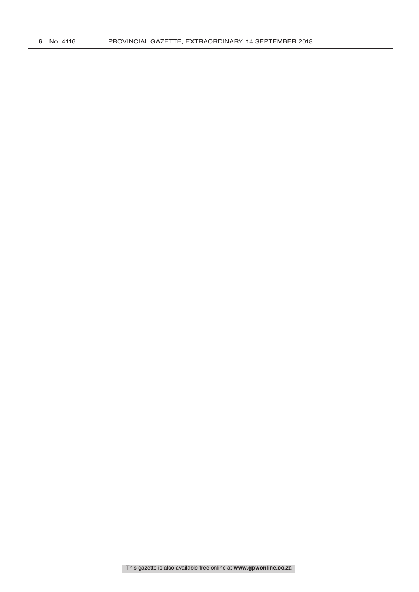This gazette is also available free online at **www.gpwonline.co.za**